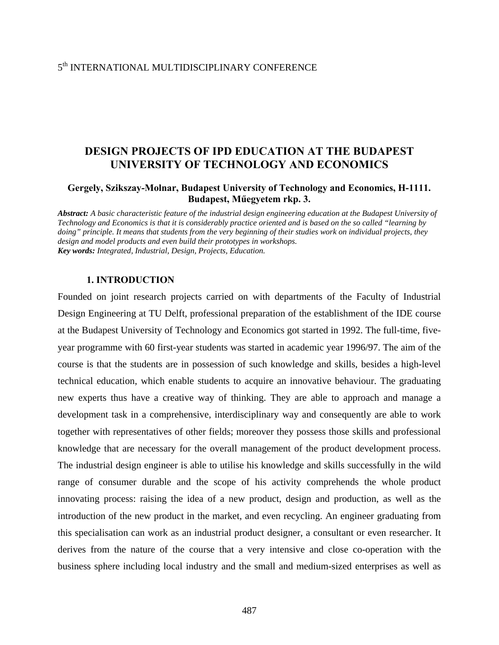#### 5<sup>th</sup> INTERNATIONAL MULTIDISCIPLINARY CONFERENCE

# **DESIGN PROJECTS OF IPD EDUCATION AT THE BUDAPEST UNIVERSITY OF TECHNOLOGY AND ECONOMICS**

#### **Gergely, Szikszay-Molnar, Budapest University of Technology and Economics, H-1111. Budapest, Műegyetem rkp. 3.**

*Abstract: A basic characteristic feature of the industrial design engineering education at the Budapest University of Technology and Economics is that it is considerably practice oriented and is based on the so called "learning by doing" principle. It means that students from the very beginning of their studies work on individual projects, they design and model products and even build their prototypes in workshops. Key words: Integrated, Industrial, Design, Projects, Education.* 

#### **1. INTRODUCTION**

Founded on joint research projects carried on with departments of the Faculty of Industrial Design Engineering at TU Delft, professional preparation of the establishment of the IDE course at the Budapest University of Technology and Economics got started in 1992. The full-time, fiveyear programme with 60 first-year students was started in academic year 1996/97. The aim of the course is that the students are in possession of such knowledge and skills, besides a high-level technical education, which enable students to acquire an innovative behaviour. The graduating new experts thus have a creative way of thinking. They are able to approach and manage a development task in a comprehensive, interdisciplinary way and consequently are able to work together with representatives of other fields; moreover they possess those skills and professional knowledge that are necessary for the overall management of the product development process. The industrial design engineer is able to utilise his knowledge and skills successfully in the wild range of consumer durable and the scope of his activity comprehends the whole product innovating process: raising the idea of a new product, design and production, as well as the introduction of the new product in the market, and even recycling. An engineer graduating from this specialisation can work as an industrial product designer, a consultant or even researcher. It derives from the nature of the course that a very intensive and close co-operation with the business sphere including local industry and the small and medium-sized enterprises as well as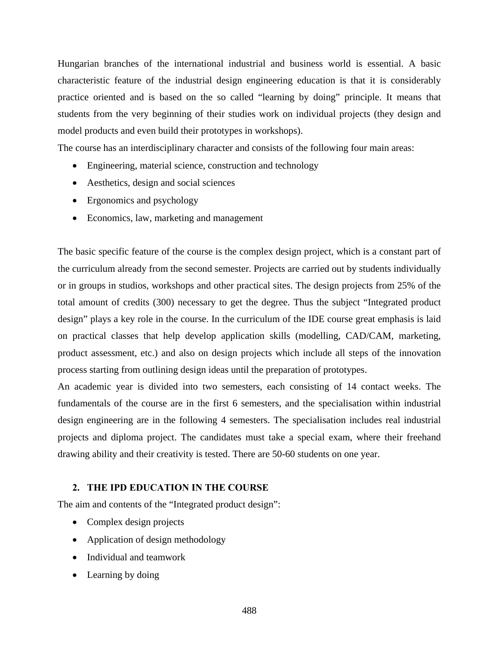Hungarian branches of the international industrial and business world is essential. A basic characteristic feature of the industrial design engineering education is that it is considerably practice oriented and is based on the so called "learning by doing" principle. It means that students from the very beginning of their studies work on individual projects (they design and model products and even build their prototypes in workshops).

The course has an interdisciplinary character and consists of the following four main areas:

- Engineering, material science, construction and technology
- Aesthetics, design and social sciences
- Ergonomics and psychology
- Economics, law, marketing and management

The basic specific feature of the course is the complex design project, which is a constant part of the curriculum already from the second semester. Projects are carried out by students individually or in groups in studios, workshops and other practical sites. The design projects from 25% of the total amount of credits (300) necessary to get the degree. Thus the subject "Integrated product design" plays a key role in the course. In the curriculum of the IDE course great emphasis is laid on practical classes that help develop application skills (modelling, CAD/CAM, marketing, product assessment, etc.) and also on design projects which include all steps of the innovation process starting from outlining design ideas until the preparation of prototypes.

An academic year is divided into two semesters, each consisting of 14 contact weeks. The fundamentals of the course are in the first 6 semesters, and the specialisation within industrial design engineering are in the following 4 semesters. The specialisation includes real industrial projects and diploma project. The candidates must take a special exam, where their freehand drawing ability and their creativity is tested. There are 50-60 students on one year.

### **2. THE IPD EDUCATION IN THE COURSE**

The aim and contents of the "Integrated product design":

- Complex design projects
- Application of design methodology
- Individual and teamwork
- Learning by doing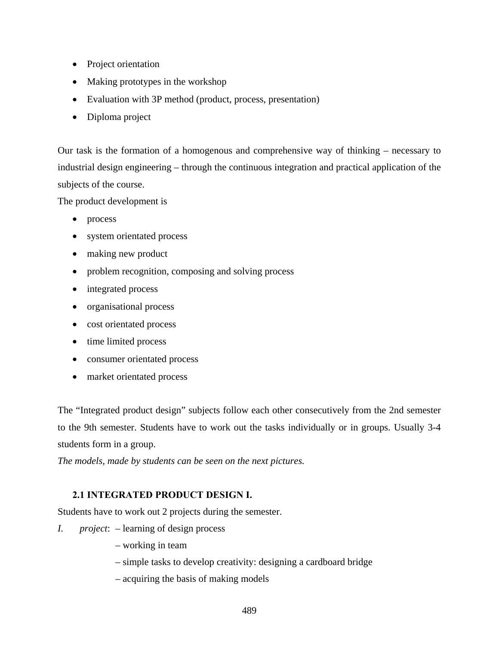- Project orientation
- Making prototypes in the workshop
- Evaluation with 3P method (product, process, presentation)
- Diploma project

Our task is the formation of a homogenous and comprehensive way of thinking – necessary to industrial design engineering – through the continuous integration and practical application of the subjects of the course.

The product development is

- process
- system orientated process
- making new product
- problem recognition, composing and solving process
- integrated process
- organisational process
- cost orientated process
- time limited process
- consumer orientated process
- market orientated process

The "Integrated product design" subjects follow each other consecutively from the 2nd semester to the 9th semester. Students have to work out the tasks individually or in groups. Usually 3-4 students form in a group.

*The models, made by students can be seen on the next pictures.* 

### **2.1 INTEGRATED PRODUCT DESIGN I.**

Students have to work out 2 projects during the semester.

- *I. project*: learning of design process
	- working in team
	- simple tasks to develop creativity: designing a cardboard bridge
	- acquiring the basis of making models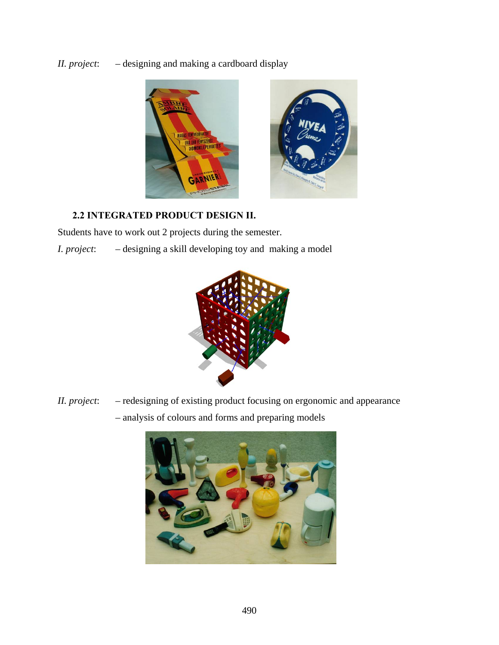*II. project*: – designing and making a cardboard display



## **2.2 INTEGRATED PRODUCT DESIGN II.**

Students have to work out 2 projects during the semester.

*I. project*: – designing a skill developing toy and making a model



*II. project*: – redesigning of existing product focusing on ergonomic and appearance – analysis of colours and forms and preparing models

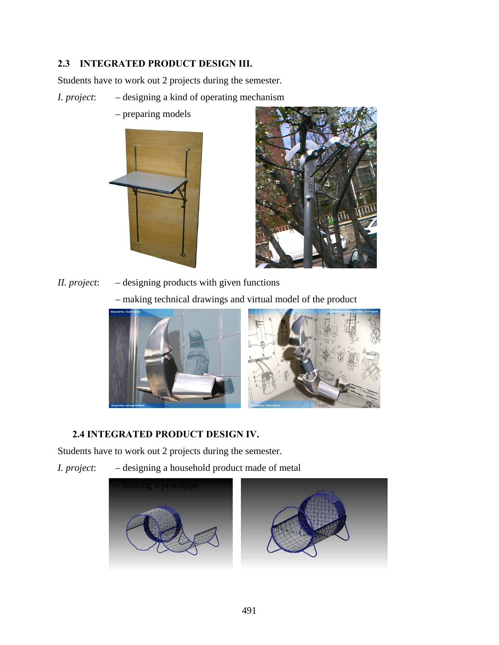# **2.3 INTEGRATED PRODUCT DESIGN III.**

Students have to work out 2 projects during the semester.

- *I. project*: designing a kind of operating mechanism
	- preparing models





*II. project*: – designing products with given functions

– making technical drawings and virtual model of the product





# **2.4 INTEGRATED PRODUCT DESIGN IV.**

Students have to work out 2 projects during the semester.

- 
- *I. project*: designing a household product made of metal



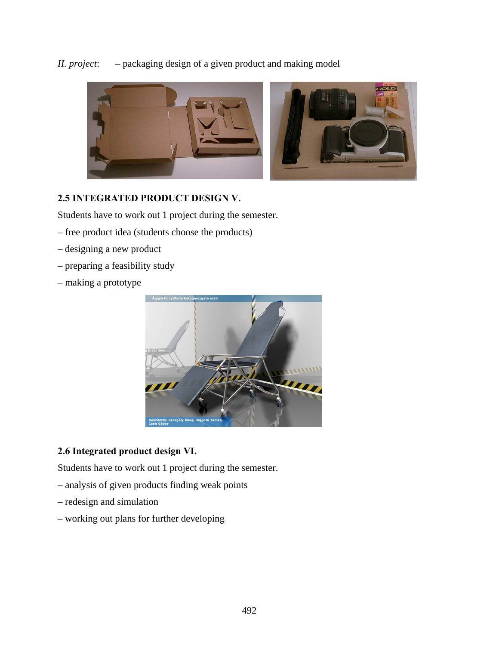*II. project*: – packaging design of a given product and making model



### **2.5 INTEGRATED PRODUCT DESIGN V.**

Students have to work out 1 project during the semester.

- free product idea (students choose the products)
- designing a new product
- preparing a feasibility study
- making a prototype



### **2.6 Integrated product design VI.**

Students have to work out 1 project during the semester.

- analysis of given products finding weak points
- redesign and simulation
- working out plans for further developing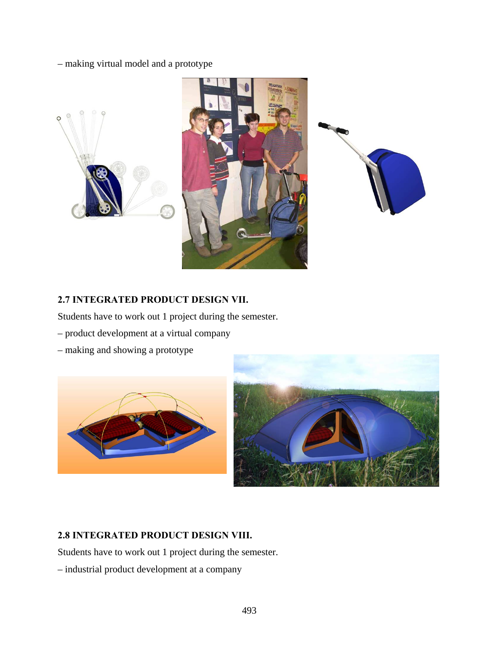### – making virtual model and a prototype







### **2.7 INTEGRATED PRODUCT DESIGN VII.**

Students have to work out 1 project during the semester.

- product development at a virtual company
- making and showing a prototype





# **2.8 INTEGRATED PRODUCT DESIGN VIII.**

Students have to work out 1 project during the semester.

– industrial product development at a company